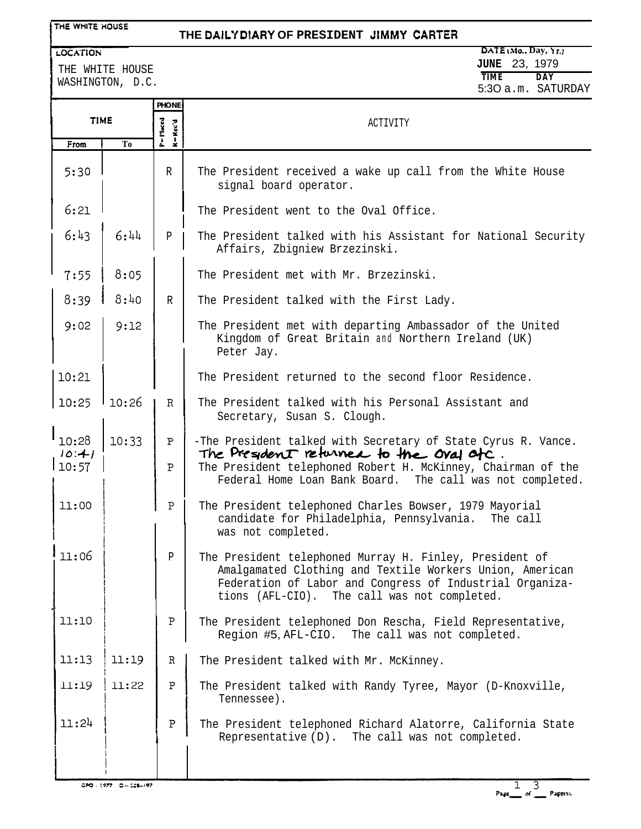### THE WHITE HOUSE

## **THE DAlL'f DfARY OF PRESIDENT 3tMMY CARTEF?**

#### LOCATION

THE WHITE HOUSE WASHINGTON, D.C.

### **DATE bM0.. Day, k't.) JUNE** 23, 1979  $TIME$ 5:3O a.m. SATURDAY

|                                       |                | <b>PHONE</b>                          |                                                                                                                                                                                                                                 |
|---------------------------------------|----------------|---------------------------------------|---------------------------------------------------------------------------------------------------------------------------------------------------------------------------------------------------------------------------------|
| <b>TIME</b>                           |                | P=I <sup>-</sup> leced<br>$R = Rec'd$ | ACTIVITY                                                                                                                                                                                                                        |
| From                                  | T <sub>0</sub> |                                       |                                                                                                                                                                                                                                 |
| 5:30                                  |                | R                                     | The President received a wake up call from the White House<br>signal board operator.                                                                                                                                            |
| 6:21                                  |                |                                       | The President went to the Oval Office.                                                                                                                                                                                          |
| 6:43                                  | 6:44           | $\, {\bf p}$                          | The President talked with his Assistant for National Security<br>Affairs, Zbigniew Brzezinski.                                                                                                                                  |
| 7:55                                  | 8:05           |                                       | The President met with Mr. Brzezinski.                                                                                                                                                                                          |
| 8:39                                  | 8:40           | $\mathbb{R}$                          | The President talked with the First Lady.                                                                                                                                                                                       |
| 9:02                                  | 9:12           |                                       | The President met with departing Ambassador of the United<br>Kingdom of Great Britain and Northern Ireland (UK)<br>Peter Jay.                                                                                                   |
| 10:21                                 |                |                                       | The President returned to the second floor Residence.                                                                                                                                                                           |
| 10:25                                 | 10:26          | $\mathbb{R}$                          | The President talked with his Personal Assistant and<br>Secretary, Susan S. Clough.                                                                                                                                             |
| $^{\text{\textsf{I}}}$ 10:28<br>10:41 | 10:33          | P                                     | -The President talked with Secretary of State Cyrus R. Vance.<br>The President returned to the Oval atc.                                                                                                                        |
| 10:57                                 |                | Ρ                                     | The President telephoned Robert H. McKinney, Chairman of the<br>Federal Home Loan Bank Board. The call was not completed.                                                                                                       |
| 11:00                                 |                | $\, {\bf P}$                          | The President telephoned Charles Bowser, 1979 Mayorial<br>candidate for Philadelphia, Pennsylvania.<br>The call<br>was not completed.                                                                                           |
| 11:06                                 |                | Ρ                                     | The President telephoned Murray H. Finley, President of<br>Amalgamated Clothing and Textile Workers Union, American<br>Federation of Labor and Congress of Industrial Organiza-<br>tions (AFL-CIO). The call was not completed. |
| 11:10                                 |                | $\, {\bf P}$                          | The President telephoned Don Rescha, Field Representative,<br>Region #5, AFL-CIO. The call was not completed.                                                                                                                   |
| 11:13                                 | 11:19          | $\mathbb{R}$                          | The President talked with Mr. McKinney.                                                                                                                                                                                         |
| 11:19                                 | 11:22          | Ρ                                     | The President talked with Randy Tyree, Mayor (D-Knoxville,<br>Tennessee).                                                                                                                                                       |
| 11:24                                 |                | $\, {\bf P}$                          | The President telephoned Richard Alatorre, California State<br>Representative (D). The call was not completed.                                                                                                                  |

 $CDPO = 1977 - C = 128 - 197$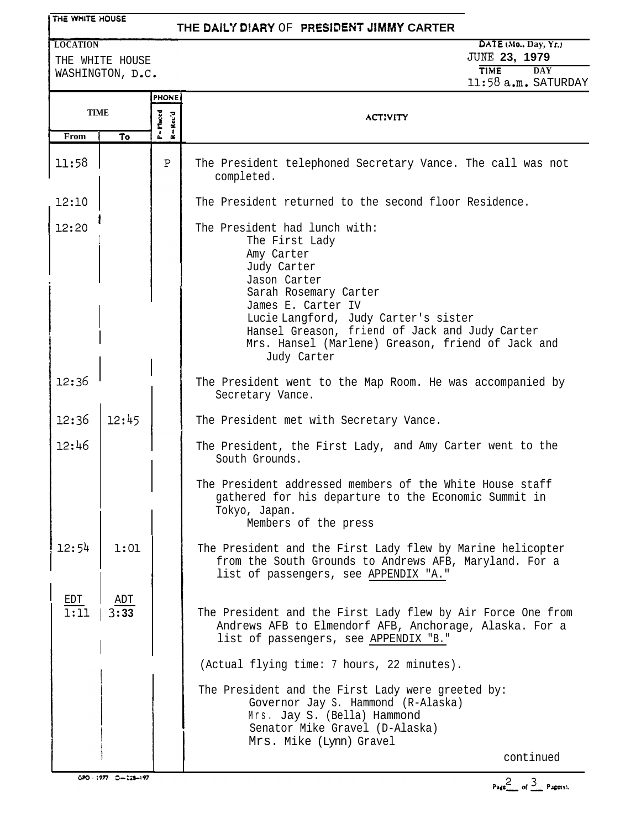### THE WHITE HOUSE

# **THE DAlt'i D!ARY** OF **PRESlDENT JIMMY CARTER**

**LOCATION**

THE WHITE HOUSE WASHINGTON, D.C.

**DKIE Ho., Day, k'r.1 JUNE 23, 1979 TIME DAY** 11:58 a.m. SATURDAY

|             |               | <b>PHONE</b>       |                                                                                                                                                                                                                                                                                                           |
|-------------|---------------|--------------------|-----------------------------------------------------------------------------------------------------------------------------------------------------------------------------------------------------------------------------------------------------------------------------------------------------------|
|             | <b>TIME</b>   | P= Placed<br>Rec'd | <b>ACTIVITY</b>                                                                                                                                                                                                                                                                                           |
| From        | To            |                    |                                                                                                                                                                                                                                                                                                           |
| 11:58       |               | P                  | The President telephoned Secretary Vance. The call was not<br>completed.                                                                                                                                                                                                                                  |
| 12:10       |               |                    | The President returned to the second floor Residence.                                                                                                                                                                                                                                                     |
| 12:20       |               |                    | The President had lunch with:<br>The First Lady<br>Amy Carter<br>Judy Carter<br>Jason Carter<br>Sarah Rosemary Carter<br>James E. Carter IV<br>Lucie Langford, Judy Carter's sister<br>Hansel Greason, friend of Jack and Judy Carter<br>Mrs. Hansel (Marlene) Greason, friend of Jack and<br>Judy Carter |
| 12:36       |               |                    | The President went to the Map Room. He was accompanied by<br>Secretary Vance.                                                                                                                                                                                                                             |
| 12:36       | 12:45         |                    | The President met with Secretary Vance.                                                                                                                                                                                                                                                                   |
| 12:46       |               |                    | The President, the First Lady, and Amy Carter went to the<br>South Grounds.                                                                                                                                                                                                                               |
|             |               |                    | The President addressed members of the White House staff<br>gathered for his departure to the Economic Summit in<br>Tokyo, Japan.<br>Members of the press                                                                                                                                                 |
| 12:54       | 1:01          |                    | The President and the First Lady flew by Marine helicopter<br>from the South Grounds to Andrews AFB, Maryland. For a<br>list of passengers, see APPENDIX "A."                                                                                                                                             |
| EDT<br>1:11 | AD'I'<br>3:33 |                    | The President and the First Lady flew by Air Force One from<br>Andrews AFB to Elmendorf AFB, Anchorage, Alaska. For a<br>list of passengers, see APPENDIX "B."                                                                                                                                            |
|             |               |                    | (Actual flying time: 7 hours, 22 minutes).                                                                                                                                                                                                                                                                |
|             |               |                    | The President and the First Lady were greeted by:<br>Governor Jay S. Hammond (R-Alaska)<br>Mrs. Jay S. (Bella) Hammond<br>Senator Mike Gravel (D-Alaska)<br>Mrs. Mike (Lynn) Gravel                                                                                                                       |
|             |               |                    | continued                                                                                                                                                                                                                                                                                                 |